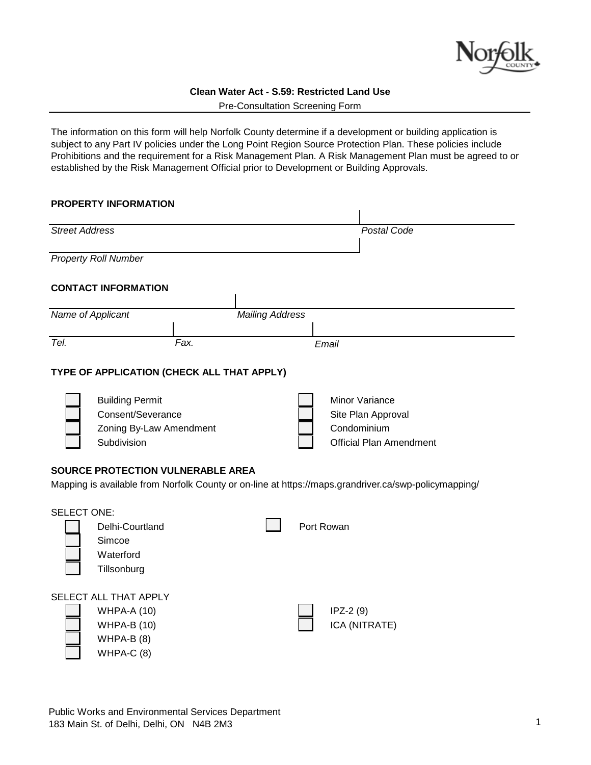

Pre-Consultation Screening Form

The information on this form will help Norfolk County determine if a development or building application is subject to any Part IV policies under the Long Point Region Source Protection Plan. These policies include Prohibitions and the requirement for a Risk Management Plan. A Risk Management Plan must be agreed to or established by the Risk Management Official prior to Development or Building Approvals.

# **PROPERTY INFORMATION**

| <b>Street Address</b>                                                                                                                            |                                                                                                  |                        |            | Postal Code                                                                           |  |  |  |
|--------------------------------------------------------------------------------------------------------------------------------------------------|--------------------------------------------------------------------------------------------------|------------------------|------------|---------------------------------------------------------------------------------------|--|--|--|
|                                                                                                                                                  | <b>Property Roll Number</b>                                                                      |                        |            |                                                                                       |  |  |  |
|                                                                                                                                                  | <b>CONTACT INFORMATION</b>                                                                       |                        |            |                                                                                       |  |  |  |
| Name of Applicant                                                                                                                                |                                                                                                  | <b>Mailing Address</b> |            |                                                                                       |  |  |  |
| Tel.                                                                                                                                             | Fax.                                                                                             |                        | Email      |                                                                                       |  |  |  |
|                                                                                                                                                  | TYPE OF APPLICATION (CHECK ALL THAT APPLY)                                                       |                        |            |                                                                                       |  |  |  |
|                                                                                                                                                  | <b>Building Permit</b><br>Consent/Severance<br>Zoning By-Law Amendment<br>Subdivision            |                        |            | Minor Variance<br>Site Plan Approval<br>Condominium<br><b>Official Plan Amendment</b> |  |  |  |
| <b>SOURCE PROTECTION VULNERABLE AREA</b><br>Mapping is available from Norfolk County or on-line at https://maps.grandriver.ca/swp-policymapping/ |                                                                                                  |                        |            |                                                                                       |  |  |  |
| <b>SELECT ONE:</b>                                                                                                                               | Delhi-Courtland<br>Simcoe<br>Waterford<br>Tillsonburg                                            |                        | Port Rowan |                                                                                       |  |  |  |
|                                                                                                                                                  | SELECT ALL THAT APPLY<br><b>WHPA-A (10)</b><br><b>WHPA-B (10)</b><br>WHPA-B $(8)$<br>$WHPA-C(8)$ |                        |            | $IPZ-2(9)$<br>ICA (NITRATE)                                                           |  |  |  |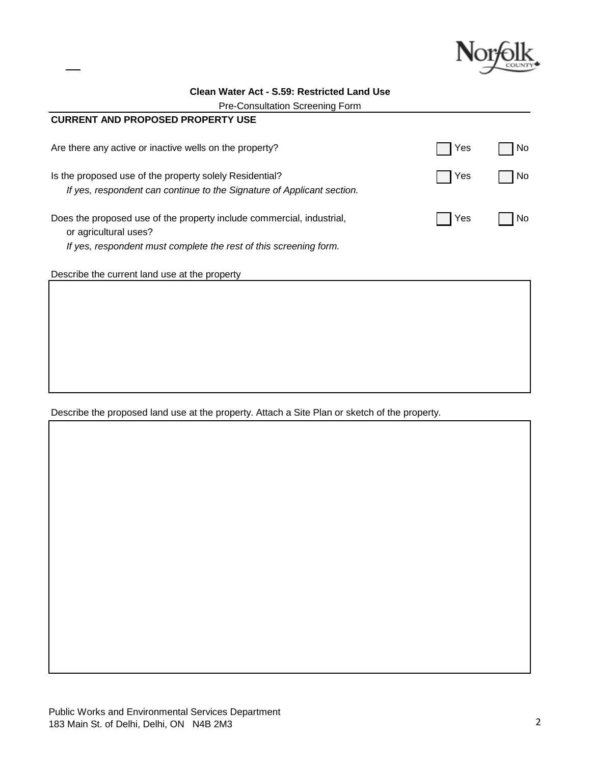

| <b>CURRENT AND PROPOSED PROPERTY USE</b>                                                                                                                            |            |      |
|---------------------------------------------------------------------------------------------------------------------------------------------------------------------|------------|------|
| Are there any active or inactive wells on the property?                                                                                                             | Yes        | No.  |
| Is the proposed use of the property solely Residential?<br>If yes, respondent can continue to the Signature of Applicant section.                                   | Yes        | l No |
| Does the proposed use of the property include commercial, industrial,<br>or agricultural uses?<br>If yes, respondent must complete the rest of this screening form. | <b>Yes</b> | No   |

Describe the current land use at the property

Describe the proposed land use at the property. Attach a Site Plan or sketch of the property.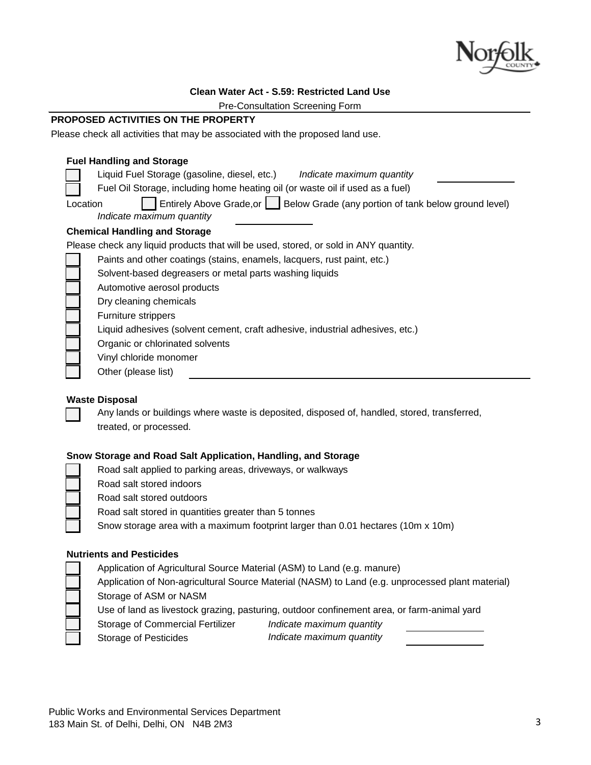

Pre-Consultation Screening Form

# **PROPOSED ACTIVITIES ON THE PROPERTY**

Please check all activities that may be associated with the proposed land use.

## **Fuel Handling and Storage**

| , ac, nanamiy ang otonago                                                                                                     |  |  |  |
|-------------------------------------------------------------------------------------------------------------------------------|--|--|--|
| Liquid Fuel Storage (gasoline, diesel, etc.)<br>Indicate maximum quantity                                                     |  |  |  |
| Fuel Oil Storage, including home heating oil (or waste oil if used as a fuel)                                                 |  |  |  |
| Entirely Above Grade, or <b>Selow Grade</b> (any portion of tank below ground level)<br>Location<br>Indicate maximum quantity |  |  |  |
| <b>Chemical Handling and Storage</b>                                                                                          |  |  |  |
| Please check any liquid products that will be used, stored, or sold in ANY quantity.                                          |  |  |  |
| Paints and other coatings (stains, enamels, lacquers, rust paint, etc.)                                                       |  |  |  |
| Solvent-based degreasers or metal parts washing liquids                                                                       |  |  |  |
| Automotive aerosol products                                                                                                   |  |  |  |
| Dry cleaning chemicals                                                                                                        |  |  |  |
| Furniture strippers                                                                                                           |  |  |  |
| Liquid adhesives (solvent cement, craft adhesive, industrial adhesives, etc.)                                                 |  |  |  |
| Organic or chlorinated solvents                                                                                               |  |  |  |
| Vinyl chloride monomer                                                                                                        |  |  |  |
| Other (please list)                                                                                                           |  |  |  |
|                                                                                                                               |  |  |  |

## **Waste Disposal**

Any lands or buildings where waste is deposited, disposed of, handled, stored, transferred, treated, or processed.

# **Snow Storage and Road Salt Application, Handling, and Storage**

- Road salt applied to parking areas, driveways, or walkways
- Road salt stored indoors
- Road salt stored outdoors
- Road salt stored in quantities greater than 5 tonnes

Snow storage area with a maximum footprint larger than 0.01 hectares (10m x 10m)

# **Nutrients and Pesticides**

Application of Agricultural Source Material (ASM) to Land (e.g. manure)

Application of Non-agricultural Source Material (NASM) to Land (e.g. unprocessed plant material) Storage of ASM or NASM

Use of land as livestock grazing, pasturing, outdoor confinement area, or farm-animal yard

- Storage of Commercial Fertilizer *Indicate maximum quantity*
	-

Storage of Pesticides *Indicate maximum quantity*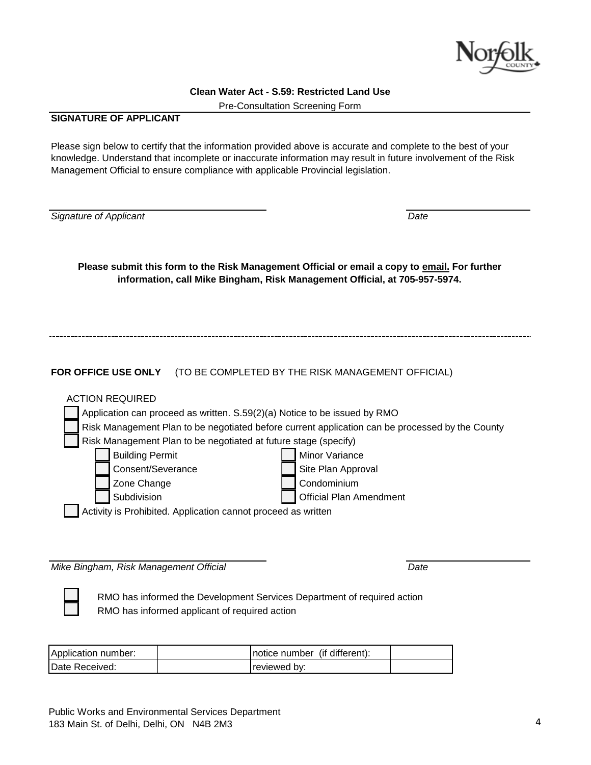

Pre-Consultation Screening Form

# **SIGNATURE OF APPLICANT**

Please sign below to certify that the information provided above is accurate and complete to the best of your knowledge. Understand that incomplete or inaccurate information may result in future involvement of the Risk Management Official to ensure compliance with applicable Provincial legislation.

*Signature of Applicant Date*

**Please submit this form to the Risk Management Official or email a copy to email. For further information, call Mike Bingham, Risk Management Official, at 705-957-5974.**

**FOR OFFICE USE ONLY** (TO BE COMPLETED BY THE RISK MANAGEMENT OFFICIAL)

| <b>ACTION REQUIRED</b>                                                                          |                                |  |  |  |  |  |  |
|-------------------------------------------------------------------------------------------------|--------------------------------|--|--|--|--|--|--|
| Application can proceed as written. S.59(2)(a) Notice to be issued by RMO                       |                                |  |  |  |  |  |  |
| Risk Management Plan to be negotiated before current application can be processed by the County |                                |  |  |  |  |  |  |
| Risk Management Plan to be negotiated at future stage (specify)                                 |                                |  |  |  |  |  |  |
| <b>Building Permit</b>                                                                          | Minor Variance                 |  |  |  |  |  |  |
| Consent/Severance                                                                               | Site Plan Approval             |  |  |  |  |  |  |
| Zone Change                                                                                     | Condominium                    |  |  |  |  |  |  |
| Subdivision                                                                                     | <b>Official Plan Amendment</b> |  |  |  |  |  |  |
| Activity is Prohibited. Application cannot proceed as written                                   |                                |  |  |  |  |  |  |

*Mike Bingham, Risk Management Official Date*

RMO has informed the Development Services Department of required action RMO has informed applicant of required action

| Application number: | Inotice number (if different): |  |
|---------------------|--------------------------------|--|
| Date Received:      | reviewed by:                   |  |